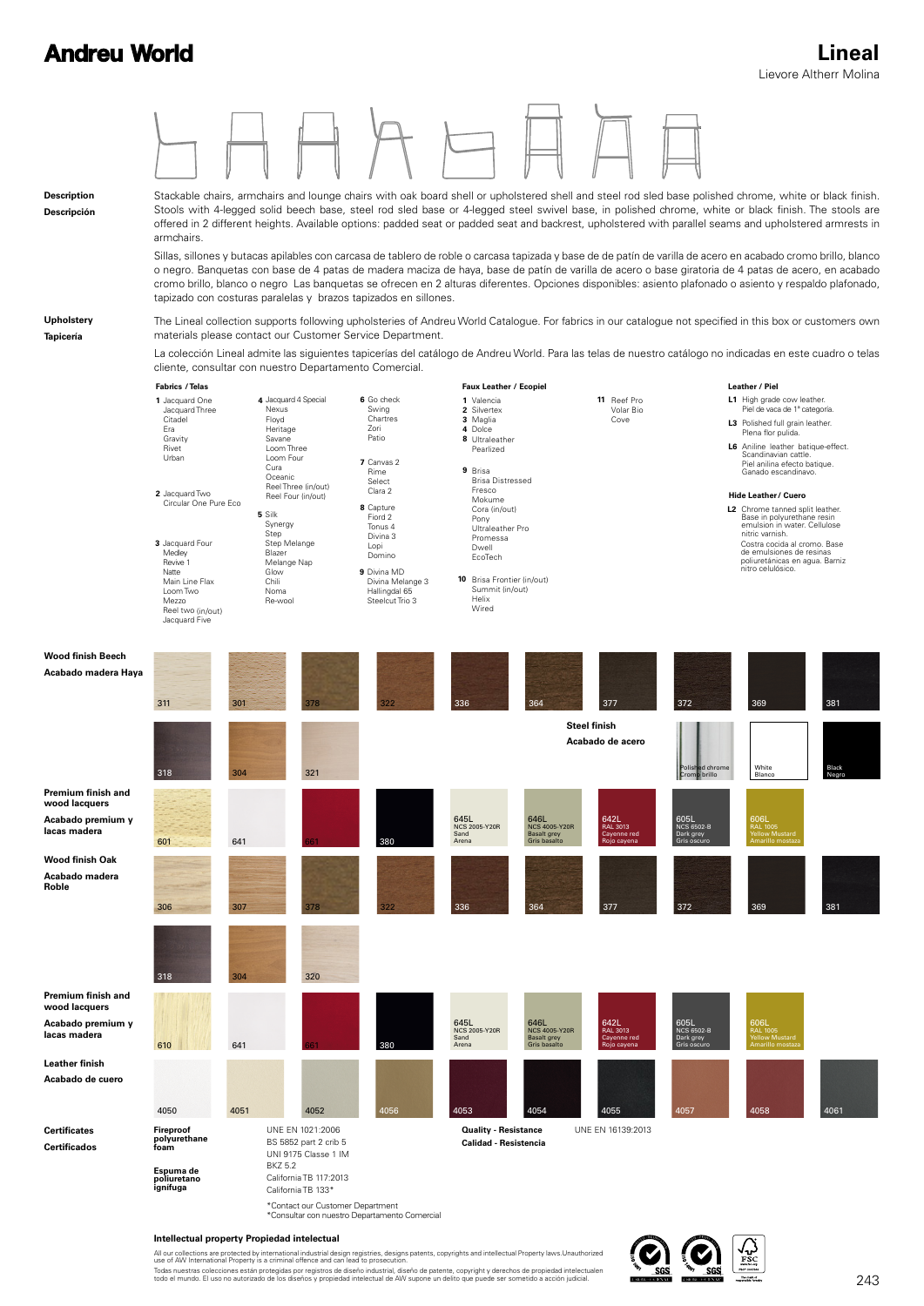

#### **Intellectual property Propiedad intelectual**

All our collections are protected by international industrial design registries, designs patents, copyrights and intellectual Property laws.Unauthorized<br>use of AW International Property is a criminal offence and can lead t Todas nuestras colecciones están protegidas por registros de diseño industrial, diseño de patente, copyright y derechos de propiedad intelectualen<br>todo el mundo. El uso no autorizado de los diseños y propiedad intelectual

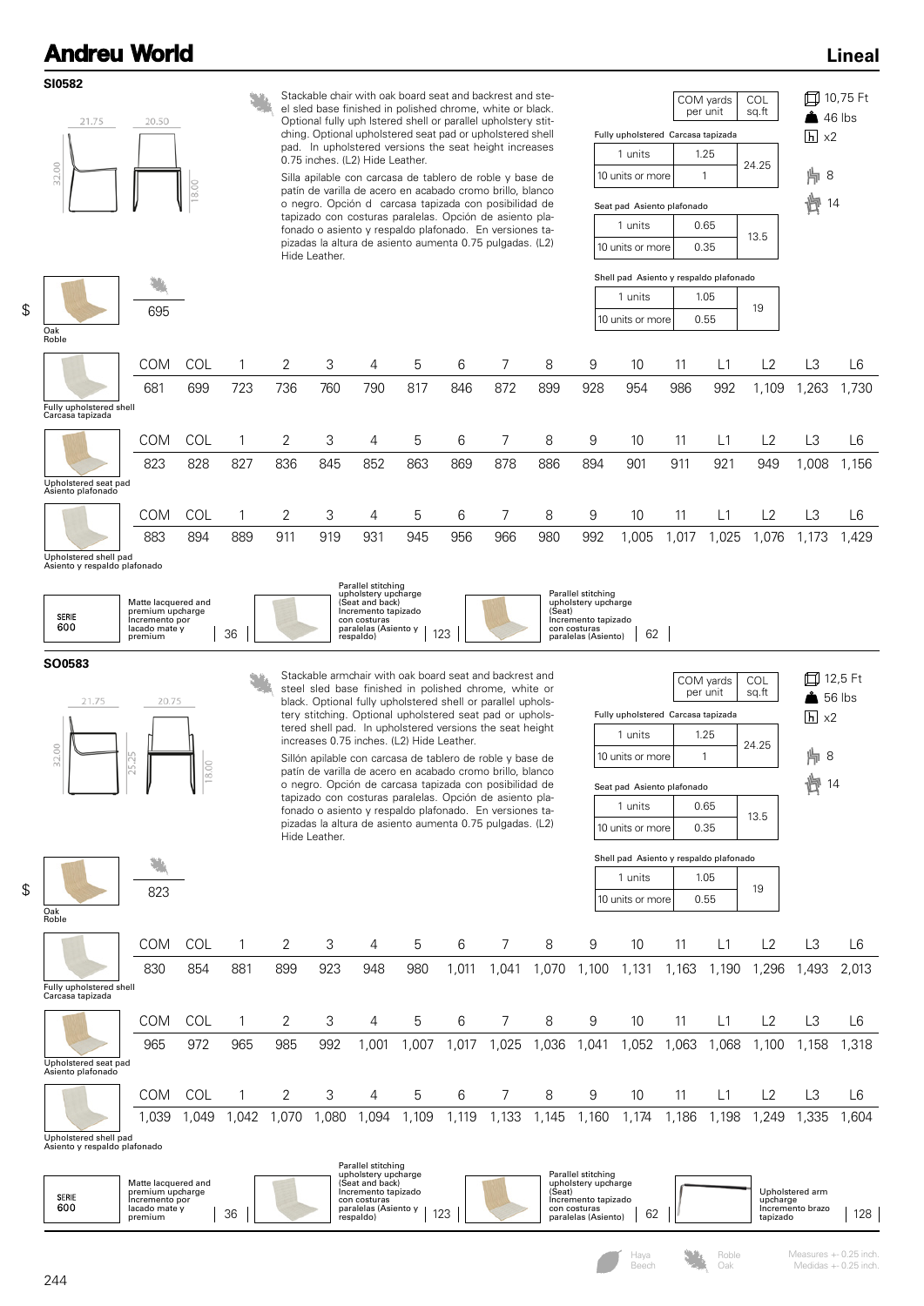**SI0582**

\$

#### **Lineal**



2.00

823

٠

tered shell pad. In upholstered versions the seat height increases 0.75 inches. (L2) Hide Leather.

Sillón apilable con carcasa de tablero de roble y base de patín de varilla de acero en acabado cromo brillo, blanco o negro. Opción de carcasa tapizada con posibilidad de tapizado con costuras paralelas. Opción de asiento plafonado o asiento y respaldo plafonado. En versiones tapizadas la altura de asiento aumenta 0.75 pulgadas. (L2) Hide Leather.

|                                    | per unit | sg.ft |  |
|------------------------------------|----------|-------|--|
| Fully upholstered Carcasa tapizada |          |       |  |
| 1 units                            | 1.25     | 24.25 |  |
| 10 units or more                   |          |       |  |
| Seat pad Asiento plafonado         |          |       |  |
| 1 units                            | 0.65     |       |  |
| 10 units or more                   | 0.35     | 13.5  |  |
|                                    |          |       |  |

8 14

| Shell pad Asiento y respaldo plafonado |    |
|----------------------------------------|----|
| 1.05                                   | 19 |
| 10 units or more<br>0.55               |    |
|                                        |    |

| $\overline{h}$ x2 |
|-------------------|
| 片8                |
| H 14              |
|                   |

|                                                       | <b>COM</b> | <b>COL</b> |      | 2             | 3    | 4    | 5     | 6     |       | 8     | 9     | 10    | 11   | L1    | L <sub>2</sub> | LЗ             | L6     |
|-------------------------------------------------------|------------|------------|------|---------------|------|------|-------|-------|-------|-------|-------|-------|------|-------|----------------|----------------|--------|
|                                                       | 830        | 854        | 881  | 899           | 923  | 948  | 980   | ,011  | ,041  | ,070  | .100  | 1,131 | .163 | 1,190 | 1,296          | ,493           | 2,013  |
| Fully upholstered shell<br>Carcasa tapizada           |            |            |      |               |      |      |       |       |       |       |       |       |      |       |                |                |        |
|                                                       | <b>COM</b> | COL        |      | $\mathcal{P}$ | 3    | 4    | 5     | 6     | 7     | 8     | 9     | 10    | 11   | L1    | L2             | LЗ             | L6     |
|                                                       | 965        | 972        | 965  | 985           | 992  | ,001 | .007  | .017  | ,025  | ,036  | .041  | ,052  | ,063 | .068  | ,100           | 1,158          | 1,318  |
| Upholstered seat pad<br>Asiento plafonado             |            |            |      |               |      |      |       |       |       |       |       |       |      |       |                |                |        |
|                                                       | <b>COM</b> | COL        |      | 2             | 3    | 4    | 5     | 6     |       | 8     | 9     | 10    | 11   | L1    | L2             | L <sub>3</sub> | L6     |
|                                                       | 0.039      | ,049       | .042 | 1,070         | ,080 | .094 | 1,109 | 1,119 | 1,133 | 1,145 | 1,160 | 1,174 | ,186 | ,198  | 1,249          | ,335           | 604, ا |
| Upholstered shell pad<br>Asiento y respaldo plafonado |            |            |      |               |      |      |       |       |       |       |       |       |      |       |                |                |        |

|              |                                                                                             | Parallel stitching<br>upholstery upcharge                                                                   | Parallel stitching                                                                          |    |                                                             |     |
|--------------|---------------------------------------------------------------------------------------------|-------------------------------------------------------------------------------------------------------------|---------------------------------------------------------------------------------------------|----|-------------------------------------------------------------|-----|
| SERIE<br>600 | Matte lacquered and<br>premium upcharge<br>Incremento por<br>lacado mate v<br>36<br>premium | (Seat and back)<br>Incremento tapizado<br>con costuras<br>paralelas (Asiento v<br>100<br>respaldo)<br>ں ے ا | upholstery upcharge<br>[Seat]<br>Incremento tapizado<br>con costuras<br>paralelas (Asiento) | 62 | Upholstered arm<br>upcharge<br>Incremento brazo<br>tapizado | 128 |

\$

Oak Roble

Roble Oak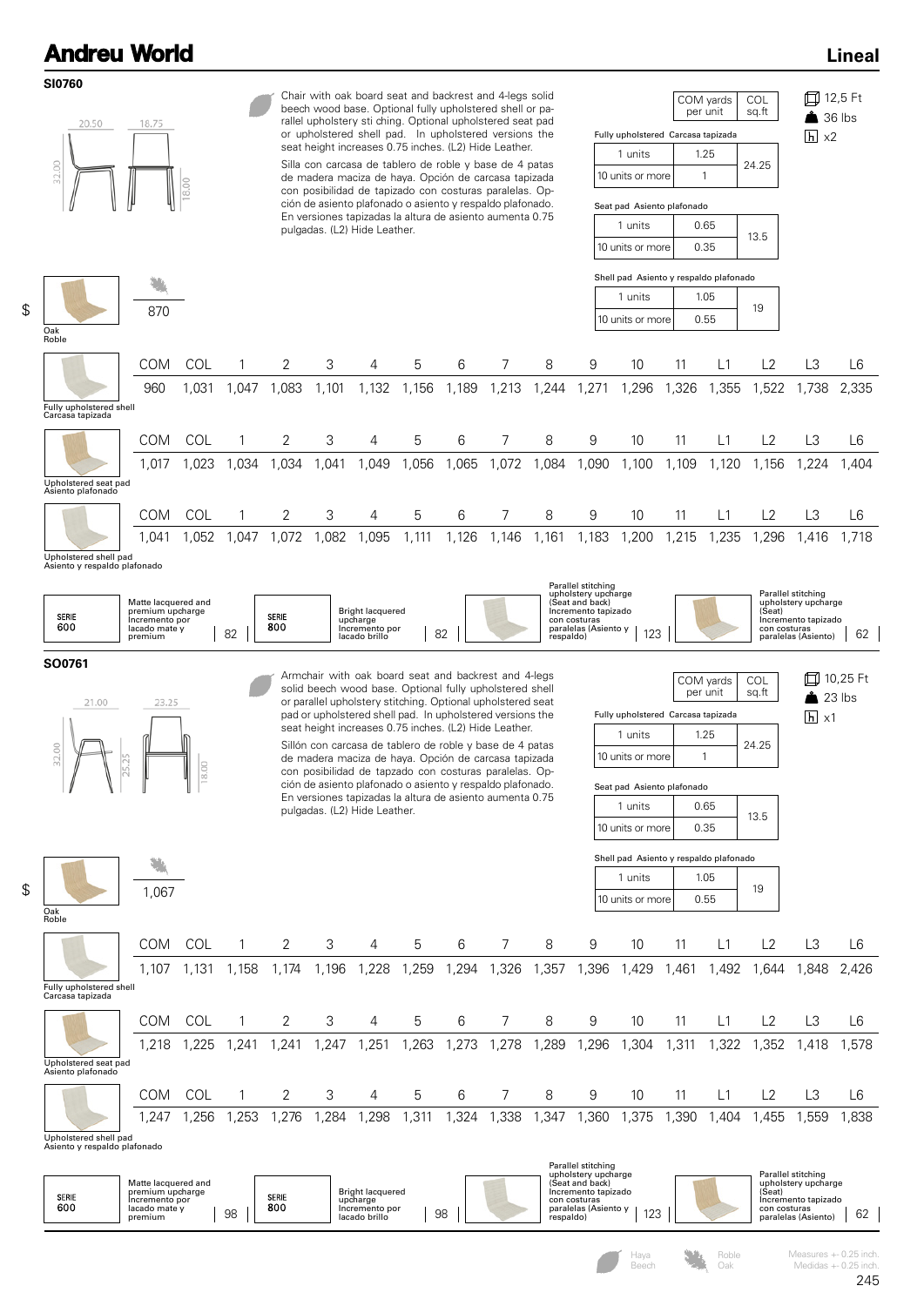**SI0760**

\$

\$



Haya Beech

Oak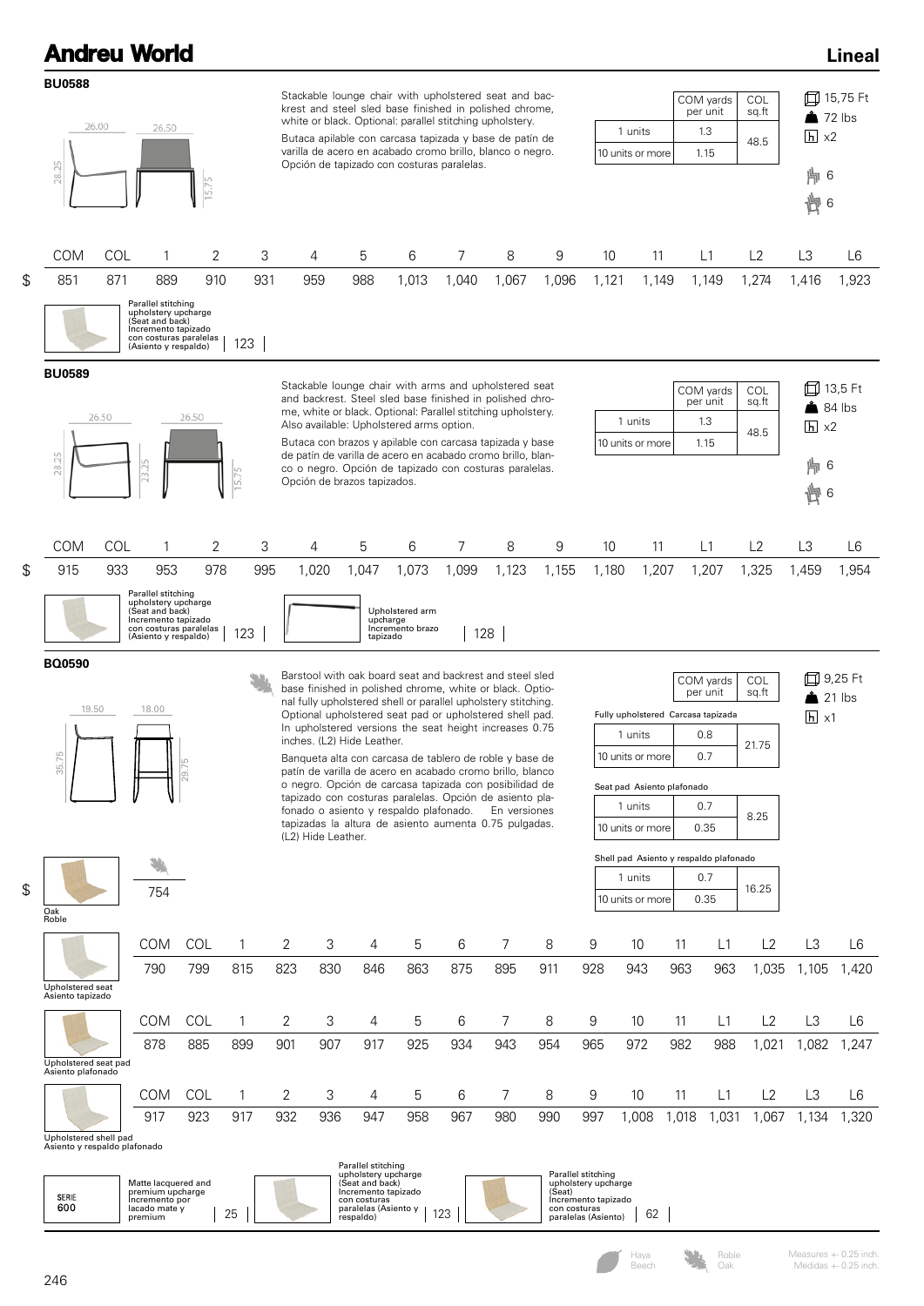| <b>Andreu World</b>                                   |            |                                                                                                                                       |                         |       |                                                                         |                           |                                                              |                                     |       |                                                                                                                                                                                                                                                                                                                                                                                                                                                                                              |                        |                                            |                                                                                                 |       |                                      |                       |                                                                     | <b>Lineal</b>  |
|-------------------------------------------------------|------------|---------------------------------------------------------------------------------------------------------------------------------------|-------------------------|-------|-------------------------------------------------------------------------|---------------------------|--------------------------------------------------------------|-------------------------------------|-------|----------------------------------------------------------------------------------------------------------------------------------------------------------------------------------------------------------------------------------------------------------------------------------------------------------------------------------------------------------------------------------------------------------------------------------------------------------------------------------------------|------------------------|--------------------------------------------|-------------------------------------------------------------------------------------------------|-------|--------------------------------------|-----------------------|---------------------------------------------------------------------|----------------|
| <b>BU0588</b><br>28.25                                | 26.00      | 26.50                                                                                                                                 | 15.75                   |       | Opción de tapizado con costuras paralelas.                              |                           |                                                              |                                     |       | Stackable lounge chair with upholstered seat and bac-<br>krest and steel sled base finished in polished chrome,<br>white or black. Optional: parallel stitching upholstery.<br>Butaca apilable con carcasa tapizada y base de patín de<br>varilla de acero en acabado cromo brillo, blanco o negro.                                                                                                                                                                                          |                        |                                            | 1 units<br>10 units or more                                                                     |       | COM yards<br>per unit<br>1.3<br>1.15 | COL<br>sq.ft<br>48.5  | $\triangle$ 72 lbs<br>$h \times 2$<br>   6<br>懊6                    | 口 15,75 Ft     |
| <b>COM</b>                                            | <b>COL</b> | 1                                                                                                                                     | 2                       | 3     | 4                                                                       | 5                         |                                                              | 6                                   | 7     | 8                                                                                                                                                                                                                                                                                                                                                                                                                                                                                            | 9                      | 10                                         | 11                                                                                              |       | L1                                   | L2                    | L3                                                                  | L <sub>6</sub> |
| \$<br>851                                             | 871        | 889                                                                                                                                   | 910                     | 931   | 959                                                                     | 988                       |                                                              | 1,013                               | 1,040 | 1,067                                                                                                                                                                                                                                                                                                                                                                                                                                                                                        | 1,096                  | 1,121                                      | 1,149                                                                                           |       | 1,149                                | 1,274                 | 1,416                                                               | 1,923          |
|                                                       |            | Parallel stitching<br>upholstery upcharge<br>(Seat and back)<br>Incremento tapizado<br>con costuras paralelas<br>(Asiento y respaldo) |                         | 123   |                                                                         |                           |                                                              |                                     |       |                                                                                                                                                                                                                                                                                                                                                                                                                                                                                              |                        |                                            |                                                                                                 |       |                                      |                       |                                                                     |                |
| <b>BU0589</b><br>28.25                                | 26.50      | 23.25                                                                                                                                 | 26.50                   | 15.75 | Also available: Upholstered arms option.<br>Opción de brazos tapizados. |                           |                                                              |                                     |       | Stackable lounge chair with arms and upholstered seat<br>and backrest. Steel sled base finished in polished chro-<br>me, white or black. Optional: Parallel stitching upholstery.<br>Butaca con brazos y apilable con carcasa tapizada y base<br>de patín de varilla de acero en acabado cromo brillo, blan-<br>co o negro. Opción de tapizado con costuras paralelas.                                                                                                                       |                        |                                            | 1 units<br>10 units or more                                                                     |       | COM yards<br>per unit<br>1.3<br>1.15 | COL<br>sq.ft<br>48.5  | 口 13,5 Ft<br>$\triangle$ 84 lbs<br>$\overline{h}$ x2<br>   6<br>慟 6 |                |
| <b>COM</b>                                            | <b>COL</b> | 1                                                                                                                                     | 2                       | 3     | 4                                                                       | 5                         |                                                              | 6                                   | 7     | 8                                                                                                                                                                                                                                                                                                                                                                                                                                                                                            | 9                      | 10                                         | 11                                                                                              |       | L1                                   | L2                    | L3                                                                  | L6             |
| \$<br>915                                             | 933        | 953                                                                                                                                   | 978                     | 995   | 1,020                                                                   | 1,047                     |                                                              | 1,073                               | 1,099 | 1,123                                                                                                                                                                                                                                                                                                                                                                                                                                                                                        | 1,155                  | 1,180                                      | 1,207                                                                                           |       | 1,207                                | 1,325                 | 1,459                                                               | 1,954          |
|                                                       |            | Parallel stitching<br>upholstery upcharge<br>(Seat and back)<br>Incremento tapizado<br>con costuras paralelas<br>(Asiento y respaldo) |                         | 123   |                                                                         |                           | upcharge<br>tapizado                                         | Upholstered arm<br>Incremento brazo |       | 128                                                                                                                                                                                                                                                                                                                                                                                                                                                                                          |                        |                                            |                                                                                                 |       |                                      |                       |                                                                     |                |
| <b>BQ0590</b><br>19.50<br>35.75                       |            | 18.00                                                                                                                                 | P5<br>$\overline{29}$ . |       | inches. (L2) Hide Leather.                                              |                           |                                                              |                                     |       | Barstool with oak board seat and backrest and steel sled<br>base finished in polished chrome, white or black. Optio-<br>nal fully upholstered shell or parallel upholstery stitching.<br>Optional upholstered seat pad or upholstered shell pad.<br>In upholstered versions the seat height increases 0.75<br>Banqueta alta con carcasa de tablero de roble y base de<br>patín de varilla de acero en acabado cromo brillo, blanco<br>o negro. Opción de carcasa tapizada con posibilidad de |                        |                                            | Fully upholstered Carcasa tapizada<br>1 units<br>10 units or more<br>Seat pad Asiento plafonado |       | COM yards<br>per unit<br>0.8<br>0.7  | COL<br>sq.ft<br>21.75 | 口 9,25 Ft<br>$\overline{h}$ x1                                      | 21 lbs         |
|                                                       |            |                                                                                                                                       |                         |       | (L2) Hide Leather.                                                      |                           |                                                              |                                     |       | tapizado con costuras paralelas. Opción de asiento pla-<br>fonado o asiento y respaldo plafonado. En versiones<br>tapizadas la altura de asiento aumenta 0.75 pulgadas.                                                                                                                                                                                                                                                                                                                      |                        |                                            | 1 units<br>10 units or more                                                                     |       | 0.7<br>0.35                          | 8.25                  |                                                                     |                |
|                                                       |            |                                                                                                                                       |                         |       |                                                                         |                           |                                                              |                                     |       |                                                                                                                                                                                                                                                                                                                                                                                                                                                                                              |                        |                                            | Shell pad Asiento y respaldo plafonado                                                          |       |                                      |                       |                                                                     |                |
| \$<br>Oak<br>Roble                                    |            | 754                                                                                                                                   |                         |       |                                                                         |                           |                                                              |                                     |       |                                                                                                                                                                                                                                                                                                                                                                                                                                                                                              |                        |                                            | 1 units<br>10 units or more                                                                     |       | 0.7<br>0.35                          | 16.25                 |                                                                     |                |
|                                                       |            | <b>COM</b>                                                                                                                            | COL                     | 1     | 2                                                                       | 3                         | 4                                                            | 5                                   | 6     | 7                                                                                                                                                                                                                                                                                                                                                                                                                                                                                            | 8                      | 9                                          | 10                                                                                              | 11    | L1                                   | L2                    | L <sub>3</sub>                                                      | L6             |
| Upholstered seat<br>Asiento tapizado                  |            | 790                                                                                                                                   | 799                     | 815   | 823                                                                     | 830                       | 846                                                          | 863                                 | 875   | 895                                                                                                                                                                                                                                                                                                                                                                                                                                                                                          | 911                    | 928                                        | 943                                                                                             | 963   | 963                                  | 1,035                 | 1,105                                                               | 1,420          |
|                                                       |            | <b>COM</b>                                                                                                                            | COL                     | 1     | 2                                                                       | 3                         | 4                                                            | 5                                   | 6     | 7                                                                                                                                                                                                                                                                                                                                                                                                                                                                                            | 8                      | 9                                          | 10                                                                                              | 11    | L1                                   | L2                    | L <sub>3</sub>                                                      | L6             |
| Upholstered seat pad<br>Asiento plafonado             |            | 878                                                                                                                                   | 885                     | 899   | 901                                                                     | 907                       | 917                                                          | 925                                 | 934   | 943                                                                                                                                                                                                                                                                                                                                                                                                                                                                                          | 954                    | 965                                        | 972                                                                                             | 982   | 988                                  | 1,021                 | 1,082                                                               | 1,247          |
|                                                       |            | <b>COM</b>                                                                                                                            | COL                     | 1     | 2                                                                       | 3                         | 4                                                            | 5                                   | 6     | 7                                                                                                                                                                                                                                                                                                                                                                                                                                                                                            | 8                      | 9                                          | 10                                                                                              | 11    | L1                                   | L2                    | L <sub>3</sub>                                                      | L6             |
|                                                       |            | 917                                                                                                                                   | 923                     | 917   | 932                                                                     | 936                       | 947                                                          | 958                                 | 967   | 980                                                                                                                                                                                                                                                                                                                                                                                                                                                                                          | 990                    | 997                                        | 1,008                                                                                           | 1,018 | 1,031                                | 1,067                 | 1,134                                                               | 1,320          |
| Upholstered shell pad<br>Asiento y respaldo plafonado |            | Matte lacquered and                                                                                                                   |                         |       |                                                                         |                           | Parallel stitching<br>upholstery upcharge<br>(Seat and back) |                                     |       |                                                                                                                                                                                                                                                                                                                                                                                                                                                                                              |                        | Parallel stitching<br>upholstery upcharge  |                                                                                                 |       |                                      |                       |                                                                     |                |
| SERIE<br>600                                          |            | premium upcharge<br>Incremento por<br>lacado mate y<br>premium                                                                        |                         | 25    |                                                                         | con costuras<br>respaldo) | Incremento tapizado<br>paralelas (Asiento y                  |                                     | 123   |                                                                                                                                                                                                                                                                                                                                                                                                                                                                                              | (Seat)<br>con costuras | Incremento tapizado<br>paralelas (Asiento) | 62                                                                                              |       |                                      |                       |                                                                     |                |

Haya Beech

Roble Oak

Measures +- 0.25 inch. Medidas +- 0.25 inch.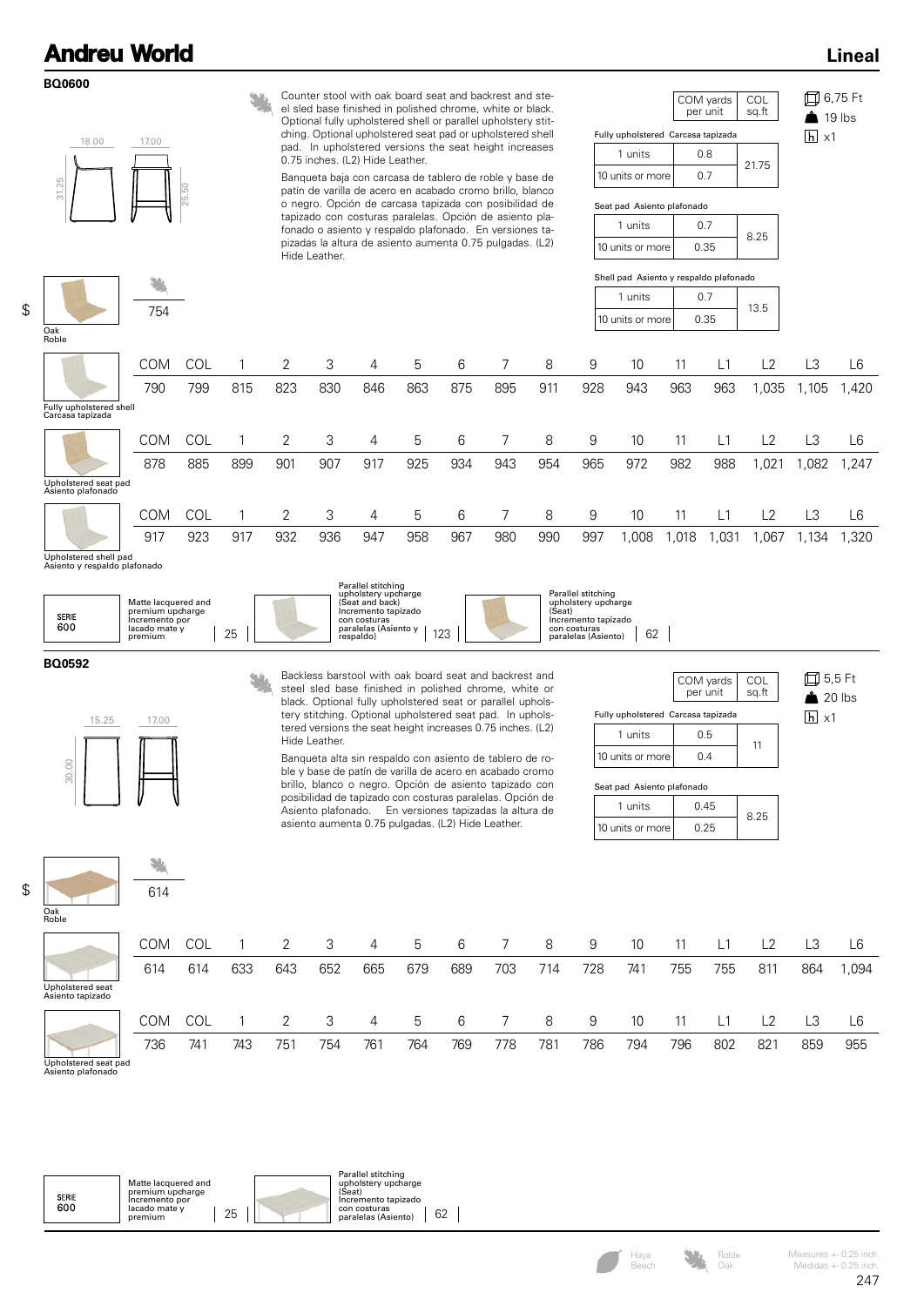**BQ0600**

#### **Lineal**

| 18.00                                       | 17.00      |       |     |                | Counter stool with oak board seat and backrest and ste-<br>el sled base finished in polished chrome, white or black.<br>Optional fully upholstered shell or parallel upholstery stit-<br>ching. Optional upholstered seat pad or upholstered shell |     |     |     |     |     |     | Fully upholstered Carcasa tapizada     |       | COM yards<br>per unit | COL<br>sq.ft | $\overline{h}$ x1 | 口 6,75 Ft<br>$19$ lbs |
|---------------------------------------------|------------|-------|-----|----------------|----------------------------------------------------------------------------------------------------------------------------------------------------------------------------------------------------------------------------------------------------|-----|-----|-----|-----|-----|-----|----------------------------------------|-------|-----------------------|--------------|-------------------|-----------------------|
|                                             |            |       |     |                | pad. In upholstered versions the seat height increases<br>0.75 inches. (L2) Hide Leather.                                                                                                                                                          |     |     |     |     |     |     | 1 units                                |       | 0.8                   |              |                   |                       |
|                                             |            |       |     |                | Banqueta baja con carcasa de tablero de roble y base de                                                                                                                                                                                            |     |     |     |     |     |     | 10 units or more                       |       | 0.7                   | 21.75        |                   |                       |
| 31.25                                       |            | 25.50 |     |                | patín de varilla de acero en acabado cromo brillo, blanco<br>o negro. Opción de carcasa tapizada con posibilidad de                                                                                                                                |     |     |     |     |     |     | Seat pad Asiento plafonado             |       |                       |              |                   |                       |
|                                             |            |       |     |                | tapizado con costuras paralelas. Opción de asiento pla-<br>fonado o asiento y respaldo plafonado. En versiones ta-                                                                                                                                 |     |     |     |     |     |     | 1 units                                |       | 0.7                   | 8.25         |                   |                       |
|                                             |            |       |     |                | pizadas la altura de asiento aumenta 0.75 pulgadas. (L2)<br>Hide Leather.                                                                                                                                                                          |     |     |     |     |     |     | 10 units or more                       |       | 0.35                  |              |                   |                       |
|                                             |            |       |     |                |                                                                                                                                                                                                                                                    |     |     |     |     |     |     | Shell pad Asiento y respaldo plafonado |       |                       |              |                   |                       |
|                                             | 754        |       |     |                |                                                                                                                                                                                                                                                    |     |     |     |     |     |     | 1 units                                |       | 0.7                   | 13.5         |                   |                       |
| Oak<br>Roble                                |            |       |     |                |                                                                                                                                                                                                                                                    |     |     |     |     |     |     | 10 units or more                       |       | 0.35                  |              |                   |                       |
|                                             | <b>COM</b> | COL   |     | $\overline{2}$ | 3                                                                                                                                                                                                                                                  | 4   | 5   | 6   | 7   | 8   | 9   | 10                                     | 11    | L1                    | L2           | L <sub>3</sub>    | L <sub>6</sub>        |
|                                             | 790        | 799   | 815 | 823            | 830                                                                                                                                                                                                                                                | 846 | 863 | 875 | 895 | 911 | 928 | 943                                    | 963   | 963                   | 1,035        | 1,105             | 1.420                 |
| Fully upholstered shell<br>Carcasa tapizada |            |       |     |                |                                                                                                                                                                                                                                                    |     |     |     |     |     |     |                                        |       |                       |              |                   |                       |
|                                             | COM        | COL   |     | 2              | 3                                                                                                                                                                                                                                                  | 4   | 5   | 6   | 7   | 8   | 9   | 10                                     | 11    | L1                    | L2           | L <sub>3</sub>    | L <sub>6</sub>        |
|                                             | 878        | 885   | 899 | 901            | 907                                                                                                                                                                                                                                                | 917 | 925 | 934 | 943 | 954 | 965 | 972                                    | 982   | 988                   | 1,021        | 1,082             | 1.247                 |
| Upholstered seat pad<br>Asiento plafonado   |            |       |     |                |                                                                                                                                                                                                                                                    |     |     |     |     |     |     |                                        |       |                       |              |                   |                       |
|                                             | <b>COM</b> | COL   |     | $\overline{2}$ | 3                                                                                                                                                                                                                                                  | 4   | 5   | 6   | 7   | 8   | 9   | 10                                     | 11    | L1                    | L2           | L <sub>3</sub>    | L <sub>6</sub>        |
|                                             | 917        | 923   | 917 | 932            | 936                                                                                                                                                                                                                                                | 947 | 958 | 967 | 980 | 990 | 997 | 1,008                                  | 1,018 | 1,031                 | 1,067        | 1,134             | 1,320                 |

Upholstered shell pad Asiento y respaldo plafonado

|                     |                                                                            | Parallel stitching<br>upholstery upcharge                                             | Parallel stitching                                                  |
|---------------------|----------------------------------------------------------------------------|---------------------------------------------------------------------------------------|---------------------------------------------------------------------|
| <b>SERIE</b><br>600 | Matte lacquered and<br>premium upcharge<br>Incremento por<br>lacado mate v | (Seat and back)<br>Incremento tapizado<br>con costuras<br>paralelas (Asiento y<br>100 | upholstery upcharge<br>(Seat<br>Incremento tapizado<br>con costuras |
|                     | 25<br>premium                                                              | respaldo)<br>$\sim$                                                                   | 62<br>paralelas (Asiento)                                           |

**BQ0592**

\$



614

¥

Backless barstool with oak board seat and backrest and steel sled base finished in polished chrome, white or black. Optional fully upholstered seat or parallel upholstery stitching. Optional upholstered seat pad. In upholstered versions the seat height increases 0.75 inches. (L2) Hide Leather.

Banqueta alta sin respaldo con asiento de tablero de roble y base de patín de varilla de acero en acabado cromo brillo, blanco o negro. Opción de asiento tapizado con posibilidad de tapizado con costuras paralelas. Opción de Asiento plafonado. En versiones tapizadas la altura de asiento aumenta 0.75 pulgadas. (L2) Hide Leather.

|                                    | sg.ft                 |
|------------------------------------|-----------------------|
| Fully upholstered Carcasa tapizada |                       |
| 0.5                                | 11                    |
| 10 units or more<br>በ 4            |                       |
|                                    | COM yards<br>per unit |

0.25

8.25

1 units 0.45

Seat pad Asiento plafonado

10 units or more

5,5 Ft  $20$  lbs  $h$  x1

Oak Roble

\$

|                                      | <b>COM</b> | COL |     |     | 3   | 4   | 5   | 6   |     | 8   | 9   | 10  | 11  | L1  | L2             | LЗ  | L6             |
|--------------------------------------|------------|-----|-----|-----|-----|-----|-----|-----|-----|-----|-----|-----|-----|-----|----------------|-----|----------------|
|                                      | 614        | 614 | 633 | 643 | 652 | 665 | 679 | 689 | 703 | 714 | 728 | 741 | 755 | 755 | 811            | 864 | 094, ا         |
| Upholstered seat<br>Asiento tapizado |            |     |     |     |     |     |     |     |     |     |     |     |     |     |                |     |                |
|                                      | <b>COM</b> | COL |     |     | 3   | 4   | 5   | 6   | 7   | 8   | 9   | 10  | 11  | L1  | L <sub>2</sub> |     | L <sub>6</sub> |
|                                      | 736        | 741 | 743 | 751 | 754 | 761 | 764 | 769 | 778 | 781 | 786 | 794 | 796 | 802 | 821            | 859 | 955            |
| Inholatorad soot nad                 |            |     |     |     |     |     |     |     |     |     |     |     |     |     |                |     |                |

 $\overline{\phantom{a}}$ 

Upholstered seat pad Asiento plafonado

| Matte lacquered and<br>premium upcharge<br><b>SERIE</b><br>Incremento por<br>600<br>lacado mate v<br>premium | Parallel stitching<br>upholstery upcharge<br>(Seat)<br>Incremento tapizado<br>con costuras<br>25<br>paralelas (Asiento) | 62 |
|--------------------------------------------------------------------------------------------------------------|-------------------------------------------------------------------------------------------------------------------------|----|
|--------------------------------------------------------------------------------------------------------------|-------------------------------------------------------------------------------------------------------------------------|----|

Roble Oak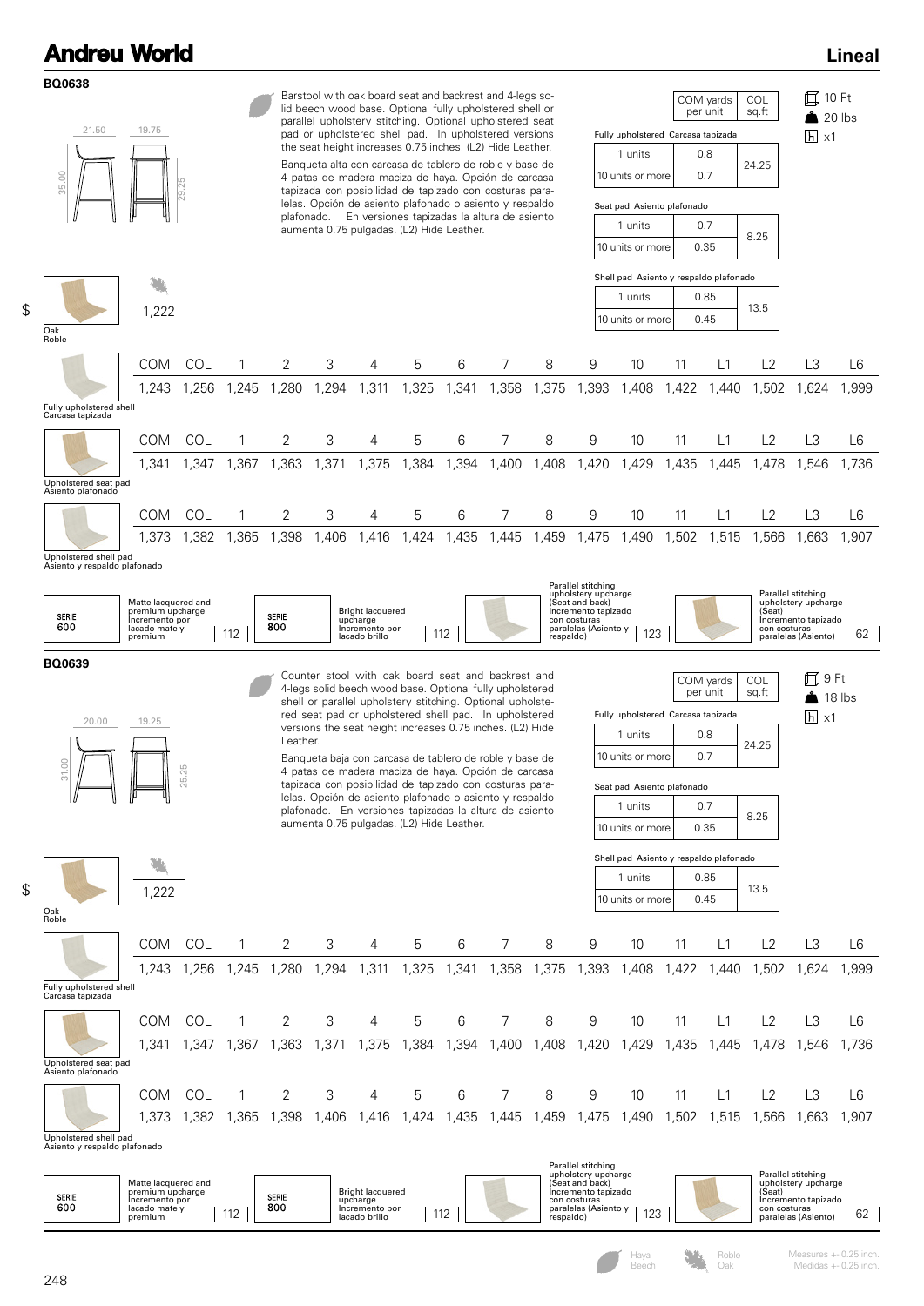**BQ0638**

\$



\$

Haya Beech

Oak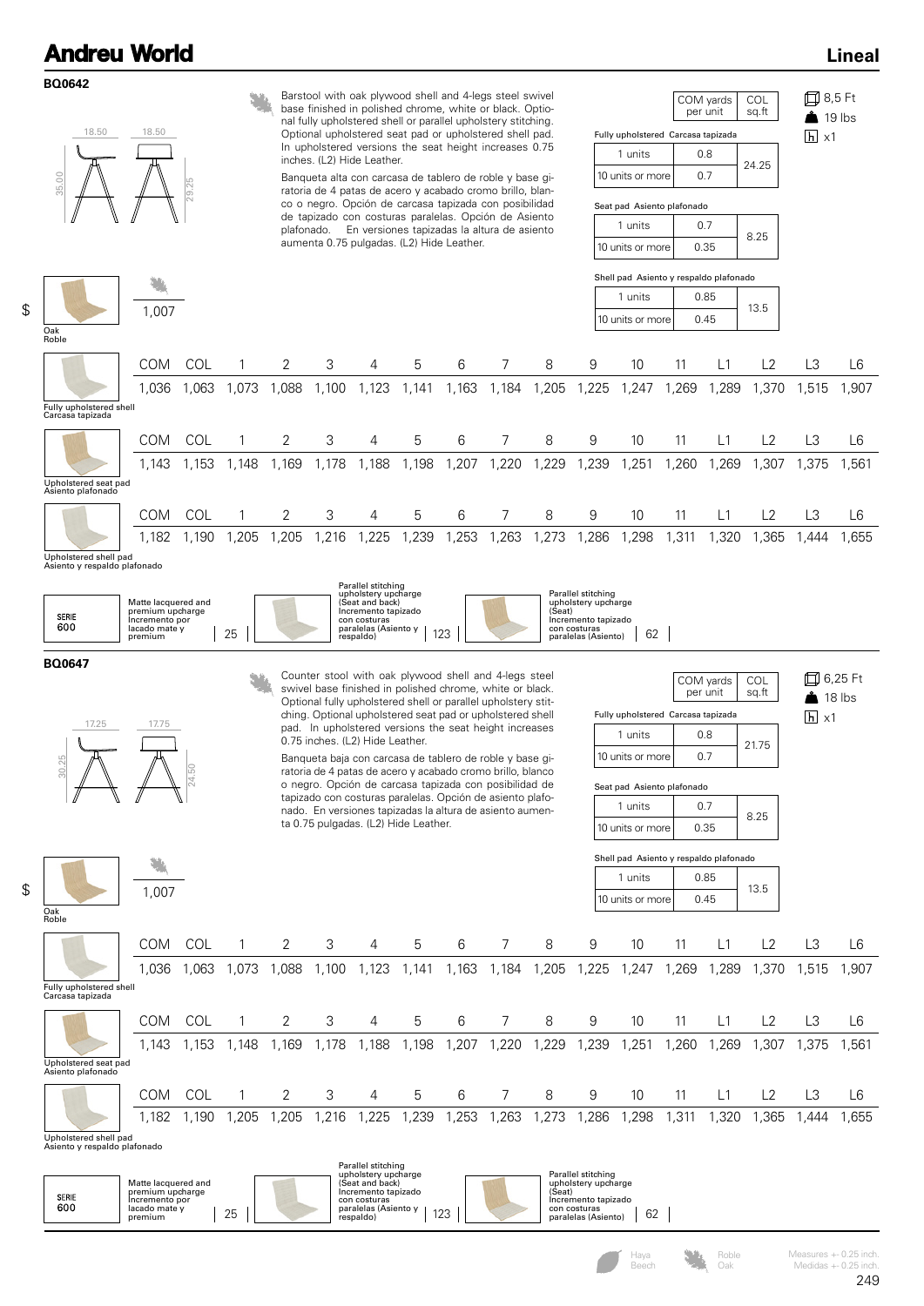\$

\$

| <b>BQ0642</b><br>18.50<br>35.00<br>Oak<br>Roble       | 18.50<br>1,007                                                                        | $\overline{29}$ |              |                                           |       | inches. (L2) Hide Leather.                                                                                                               |                                      | Barstool with oak plywood shell and 4-legs steel swivel<br>base finished in polished chrome, white or black. Optio-<br>nal fully upholstered shell or parallel upholstery stitching.<br>Optional upholstered seat pad or upholstered shell pad.<br>In upholstered versions the seat height increases 0.75<br>Banqueta alta con carcasa de tablero de roble y base gi-<br>ratoria de 4 patas de acero y acabado cromo brillo, blan-<br>co o negro. Opción de carcasa tapizada con posibilidad<br>de tapizado con costuras paralelas. Opción de Asiento<br>plafonado. En versiones tapizadas la altura de asiento<br>aumenta 0.75 pulgadas. (L2) Hide Leather. |       |                                                             |                                                                                                         | Fully upholstered Carcasa tapizada<br>1 units<br>10 units or more<br>Seat pad Asiento plafonado<br>1 units<br>10 units or more<br>Shell pad Asiento y respaldo plafonado<br>1 units<br>10 units or more |       | COM yards<br>per unit<br>0.8<br>0.7<br>0.7<br>0.35<br>0.85<br>0.45 | COL<br>sq.ft<br>24.25<br>8.25<br>13.5 | 囗 8,5 Ft<br>$\overline{h}$ x1                      | $19$ lbs |
|-------------------------------------------------------|---------------------------------------------------------------------------------------|-----------------|--------------|-------------------------------------------|-------|------------------------------------------------------------------------------------------------------------------------------------------|--------------------------------------|--------------------------------------------------------------------------------------------------------------------------------------------------------------------------------------------------------------------------------------------------------------------------------------------------------------------------------------------------------------------------------------------------------------------------------------------------------------------------------------------------------------------------------------------------------------------------------------------------------------------------------------------------------------|-------|-------------------------------------------------------------|---------------------------------------------------------------------------------------------------------|---------------------------------------------------------------------------------------------------------------------------------------------------------------------------------------------------------|-------|--------------------------------------------------------------------|---------------------------------------|----------------------------------------------------|----------|
|                                                       | <b>COM</b>                                                                            | COL             | 1            | 2                                         | 3     | 4                                                                                                                                        | 5                                    | 6                                                                                                                                                                                                                                                                                                                                                                                                                                                                                                                                                                                                                                                            | 7     | 8                                                           | 9                                                                                                       | 10                                                                                                                                                                                                      | 11    | L1                                                                 | L2                                    | L <sub>3</sub>                                     | L6       |
| Fully upholstered shell<br>Carcasa tapizada           | 1,036                                                                                 | 1,063           | 1,073        | 1,088                                     | 1,100 | 1,123                                                                                                                                    | 1,141                                | 1,163                                                                                                                                                                                                                                                                                                                                                                                                                                                                                                                                                                                                                                                        | 1,184 | 1,205                                                       | 1,225                                                                                                   | 1,247                                                                                                                                                                                                   | 1,269 | 1,289                                                              | 1,370                                 | 1,515                                              | 1,907    |
|                                                       | COM                                                                                   | COL             | 1            | 2                                         | 3     | 4                                                                                                                                        | 5                                    | 6                                                                                                                                                                                                                                                                                                                                                                                                                                                                                                                                                                                                                                                            | 7     | 8                                                           | 9                                                                                                       | 10                                                                                                                                                                                                      | 11    | L1                                                                 | L2                                    | L <sub>3</sub>                                     | L6       |
| Upholstered seat pad<br>Asiento plafonado             | 1.143                                                                                 | 1,153           | 1,148        | 1,169                                     | 1,178 | 1,188                                                                                                                                    | 1,198                                | 1,207                                                                                                                                                                                                                                                                                                                                                                                                                                                                                                                                                                                                                                                        | 1,220 | 1,229                                                       | 1,239                                                                                                   | 1,251                                                                                                                                                                                                   | 1,260 | 1,269                                                              | 1,307                                 | 1,375                                              | 1,561    |
|                                                       | COM                                                                                   | COL             | 1            | 2                                         | 3     | 4                                                                                                                                        | 5                                    | 6                                                                                                                                                                                                                                                                                                                                                                                                                                                                                                                                                                                                                                                            | 7     | 8                                                           | 9                                                                                                       | 10                                                                                                                                                                                                      | 11    | L1                                                                 | L2                                    | L <sub>3</sub>                                     | L6       |
|                                                       | 1,182                                                                                 | 1,190           | 1,205        | 1,205                                     | 1,216 | 1,225                                                                                                                                    | 1,239                                | 1,253                                                                                                                                                                                                                                                                                                                                                                                                                                                                                                                                                                                                                                                        | 1,263 | 1,273                                                       | 1,286                                                                                                   | 1,298                                                                                                                                                                                                   | 1,311 | 1,320                                                              | 1,365                                 | 1,444                                              | 1,655    |
| Upholstered shell pad<br>Asiento y respaldo plafonado |                                                                                       |                 |              |                                           |       |                                                                                                                                          |                                      |                                                                                                                                                                                                                                                                                                                                                                                                                                                                                                                                                                                                                                                              |       |                                                             |                                                                                                         |                                                                                                                                                                                                         |       |                                                                    |                                       |                                                    |          |
| SERIE<br>600                                          | Matte lacquered and<br>premium upcharge<br>Incremento por<br>lacado mate y<br>premium |                 | 25           |                                           |       | Parallel stitching<br>upholstery upcharge<br>(Seat and back)<br>Incremento tapizado<br>con costuras<br>paralelas (Asiento y<br>respaldo) |                                      | 123                                                                                                                                                                                                                                                                                                                                                                                                                                                                                                                                                                                                                                                          |       | (Seat)                                                      | Parallel stitching<br>upholstery upcharge<br>Incremento tapizado<br>con costuras<br>paralelas (Asiento) | 62                                                                                                                                                                                                      |       |                                                                    |                                       |                                                    |          |
|                                                       |                                                                                       |                 |              |                                           |       |                                                                                                                                          |                                      |                                                                                                                                                                                                                                                                                                                                                                                                                                                                                                                                                                                                                                                              |       |                                                             |                                                                                                         |                                                                                                                                                                                                         |       |                                                                    |                                       |                                                    |          |
| BQ0647<br>17.25<br>0.25                               | 17.75                                                                                 |                 |              |                                           |       | 0.75 inches. (L2) Hide Leather.                                                                                                          | ta 0.75 pulgadas. (L2) Hide Leather. | Counter stool with oak plywood shell and 4-legs steel<br>swivel base finished in polished chrome, white or black.<br>Optional fully upholstered shell or parallel upholstery stit-<br>ching. Optional upholstered seat pad or upholstered shell<br>pad. In upholstered versions the seat height increases<br>Banqueta baja con carcasa de tablero de roble y base gi-<br>ratoria de 4 patas de acero y acabado cromo brillo, blanco<br>o negro. Opción de carcasa tapizada con posibilidad de<br>tapizado con costuras paralelas. Opción de asiento plafo-<br>nado. En versiones tapizadas la altura de asiento aumen-                                       |       |                                                             |                                                                                                         | Fully upholstered Carcasa tapizada<br>1 units<br>10 units or more<br>Seat pad Asiento plafonado<br>1 units<br>10 units or more                                                                          |       | COM yards<br>per unit<br>0.8<br>0.7<br>0.7<br>0.35                 | COL<br>sq.ft<br>21.75<br>8.25         | 口 6,25 Ft<br>$\bullet$ 18 lbs<br>$\overline{h}$ x1 |          |
|                                                       |                                                                                       |                 |              |                                           |       |                                                                                                                                          |                                      |                                                                                                                                                                                                                                                                                                                                                                                                                                                                                                                                                                                                                                                              |       |                                                             |                                                                                                         | Shell pad Asiento y respaldo plafonado<br>1 units                                                                                                                                                       |       | 0.85                                                               |                                       |                                                    |          |
|                                                       | 1,007                                                                                 |                 |              |                                           |       |                                                                                                                                          |                                      |                                                                                                                                                                                                                                                                                                                                                                                                                                                                                                                                                                                                                                                              |       |                                                             |                                                                                                         | 10 units or more                                                                                                                                                                                        |       | 0.45                                                               | 13.5                                  |                                                    |          |
| Oak<br>Roble                                          |                                                                                       |                 |              |                                           |       |                                                                                                                                          |                                      |                                                                                                                                                                                                                                                                                                                                                                                                                                                                                                                                                                                                                                                              |       |                                                             |                                                                                                         |                                                                                                                                                                                                         |       |                                                                    |                                       |                                                    |          |
|                                                       | <b>COM</b>                                                                            | COL             | 1            | 2                                         | 3     | 4                                                                                                                                        | 5                                    | 6                                                                                                                                                                                                                                                                                                                                                                                                                                                                                                                                                                                                                                                            | 7     | 8                                                           | 9                                                                                                       | 10                                                                                                                                                                                                      | 11    | L1                                                                 | L2                                    | L3                                                 | L6       |
|                                                       | 1.036                                                                                 |                 |              |                                           |       |                                                                                                                                          |                                      |                                                                                                                                                                                                                                                                                                                                                                                                                                                                                                                                                                                                                                                              |       | 1,063 1,073 1,088 1,100 1,123 1,141 1,163 1,184 1,205 1,225 |                                                                                                         |                                                                                                                                                                                                         |       |                                                                    | 1,247 1,269 1,289 1,370               | 1,515                                              | 1,907    |
| Fully upholstered shell<br>Carcasa tapizada           |                                                                                       |                 |              |                                           |       |                                                                                                                                          |                                      |                                                                                                                                                                                                                                                                                                                                                                                                                                                                                                                                                                                                                                                              |       |                                                             |                                                                                                         |                                                                                                                                                                                                         |       |                                                                    |                                       |                                                    |          |
|                                                       | <b>COM</b>                                                                            | COL             | $\mathbf{1}$ | 2                                         | 3     | 4                                                                                                                                        | 5                                    | 6                                                                                                                                                                                                                                                                                                                                                                                                                                                                                                                                                                                                                                                            | 7     | 8                                                           | 9                                                                                                       | 10                                                                                                                                                                                                      | 11    | L1                                                                 | L2                                    | L3                                                 | L6       |
|                                                       | 1.143                                                                                 | 1,153           | 1,148        | 1,169 1,178 1,188 1,198 1,207 1,220 1,229 |       |                                                                                                                                          |                                      |                                                                                                                                                                                                                                                                                                                                                                                                                                                                                                                                                                                                                                                              |       |                                                             | 1,239                                                                                                   | 1,251                                                                                                                                                                                                   |       |                                                                    | 1,260 1,269 1,307 1,375               |                                                    | 1,561    |
| Upholstered seat pad                                  |                                                                                       |                 |              |                                           |       |                                                                                                                                          |                                      |                                                                                                                                                                                                                                                                                                                                                                                                                                                                                                                                                                                                                                                              |       |                                                             |                                                                                                         |                                                                                                                                                                                                         |       |                                                                    |                                       |                                                    |          |
| Asiento plafonado                                     | <b>COM</b>                                                                            | COL             | 1            | 2                                         | 3     | 4                                                                                                                                        | 5                                    | 6                                                                                                                                                                                                                                                                                                                                                                                                                                                                                                                                                                                                                                                            | 7     | 8                                                           | 9                                                                                                       | 10                                                                                                                                                                                                      | 11    | L1                                                                 | L2                                    | L3                                                 | L6       |
| Upholstered shell pad<br>Asiento y respaldo plafonado | 1,182                                                                                 | 1,190           | 1,205        | 1,205                                     | 1,216 |                                                                                                                                          | 1,225 1,239                          | 1,253                                                                                                                                                                                                                                                                                                                                                                                                                                                                                                                                                                                                                                                        | 1,263 | 1,273                                                       | 1,286                                                                                                   | 1,298                                                                                                                                                                                                   | 1,311 | 1,320                                                              | 1,365                                 | 1,444                                              | 1,655    |

Roble Oak

Measures +- 0.25 inch. Medidas +- 0.25 inch.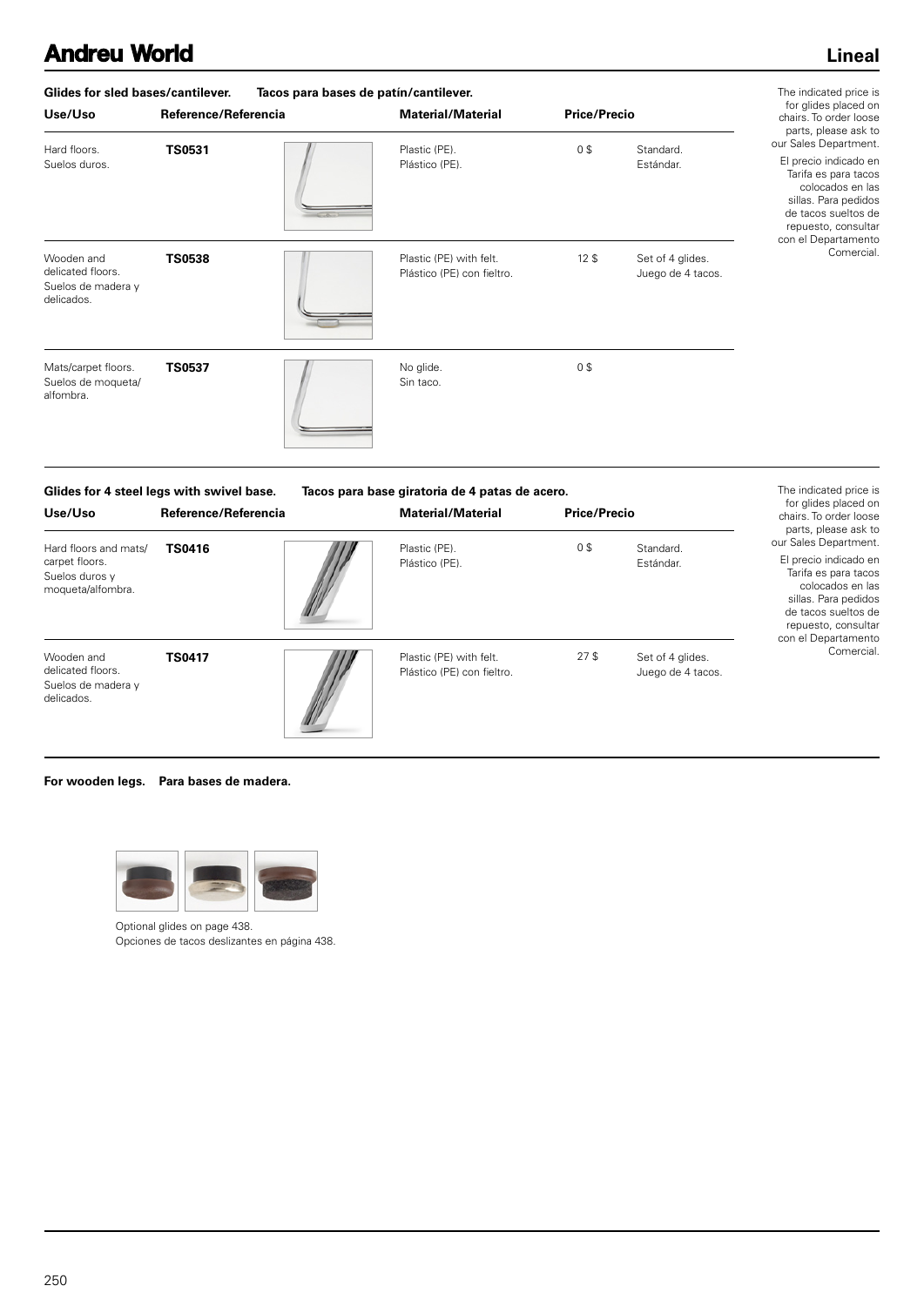#### **Lineal**

| Glides for sled bases/cantilever.                                   | The indicated price is |                                                       |                     |                                       |                                                                                                                                                                                          |
|---------------------------------------------------------------------|------------------------|-------------------------------------------------------|---------------------|---------------------------------------|------------------------------------------------------------------------------------------------------------------------------------------------------------------------------------------|
| Use/Uso                                                             | Reference/Referencia   | <b>Material/Material</b>                              | <b>Price/Precio</b> |                                       | for glides placed on<br>chairs. To order loose                                                                                                                                           |
| Hard floors.<br>Suelos duros.                                       | <b>TS0531</b>          | Plastic (PE).<br>Plástico (PE).                       | 0\$                 | Standard.<br>Estándar.                | parts, please ask to<br>our Sales Department.<br>El precio indicado en<br>Tarifa es para tacos<br>colocados en las<br>sillas. Para pedidos<br>de tacos sueltos de<br>repuesto, consultar |
| Wooden and<br>delicated floors.<br>Suelos de madera y<br>delicados. | <b>TS0538</b>          | Plastic (PE) with felt.<br>Plástico (PE) con fieltro. | 12 <sup>5</sup>     | Set of 4 glides.<br>Juego de 4 tacos. | con el Departamento<br>Comercial.                                                                                                                                                        |
| Mats/carpet floors.<br>Suelos de moqueta/<br>alfombra.              | <b>TS0537</b>          | No glide.<br>Sin taco.                                | 0\$                 |                                       |                                                                                                                                                                                          |

| Glides for 4 steel legs with swivel base.                                      |                      | Tacos para base giratoria de 4 patas de acero. |                                                       |                     |                                       | The indicated price is                                                                                                                                                                                |
|--------------------------------------------------------------------------------|----------------------|------------------------------------------------|-------------------------------------------------------|---------------------|---------------------------------------|-------------------------------------------------------------------------------------------------------------------------------------------------------------------------------------------------------|
| Use/Uso                                                                        | Reference/Referencia |                                                | <b>Material/Material</b>                              | <b>Price/Precio</b> |                                       | for glides placed on<br>chairs. To order loose<br>parts, please ask to                                                                                                                                |
| Hard floors and mats/<br>carpet floors.<br>Suelos duros y<br>moqueta/alfombra. | <b>TS0416</b>        |                                                | Plastic (PE).<br>Plástico (PE).                       | 0\$                 | Standard.<br>Estándar.                | our Sales Department.<br>El precio indicado en<br>Tarifa es para tacos<br>colocados en las<br>sillas. Para pedidos<br>de tacos sueltos de<br>repuesto, consultar<br>con el Departamento<br>Comercial. |
| Wooden and<br>delicated floors.<br>Suelos de madera y<br>delicados.            | <b>TS0417</b>        |                                                | Plastic (PE) with felt.<br>Plástico (PE) con fieltro. | 27 <sup>5</sup>     | Set of 4 glides.<br>Juego de 4 tacos. |                                                                                                                                                                                                       |

#### **For wooden legs. Para bases de madera.**



Optional glides on page 438. Opciones de tacos deslizantes en página 438.